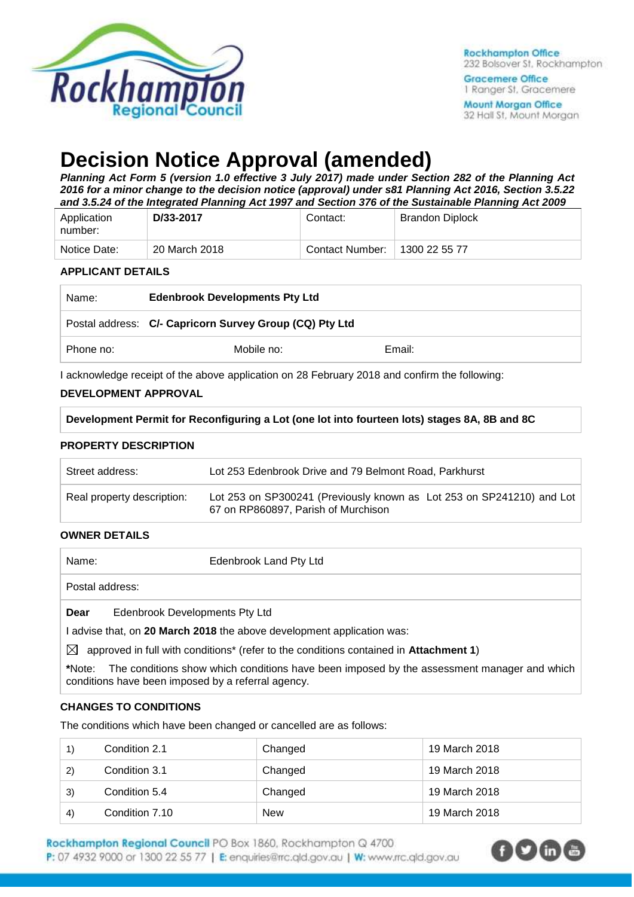

**Gracemere Office** 1 Ranger St. Gracemere **Mount Morgan Office** 32 Hall St, Mount Morgan

# **Decision Notice Approval (amended)**

*Planning Act Form 5 (version 1.0 effective 3 July 2017) made under Section 282 of the Planning Act 2016 for a minor change to the decision notice (approval) under s81 Planning Act 2016, Section 3.5.22 and 3.5.24 of the Integrated Planning Act 1997 and Section 376 of the Sustainable Planning Act 2009*

| Application<br>number: | D/33-2017     | Contact:        | Brandon Diplock |
|------------------------|---------------|-----------------|-----------------|
| Notice Date:           | 20 March 2018 | Contact Number: | 1300 22 55 77   |

#### **APPLICANT DETAILS**

| Name:     | <b>Edenbrook Developments Pty Ltd</b>                   |        |  |
|-----------|---------------------------------------------------------|--------|--|
|           | Postal address: C/- Capricorn Survey Group (CQ) Pty Ltd |        |  |
| Phone no: | Mobile no:                                              | Email: |  |

I acknowledge receipt of the above application on 28 February 2018 and confirm the following:

#### **DEVELOPMENT APPROVAL**

**Development Permit for Reconfiguring a Lot (one lot into fourteen lots) stages 8A, 8B and 8C**

#### **PROPERTY DESCRIPTION**

| Street address:            | Lot 253 Edenbrook Drive and 79 Belmont Road, Parkhurst                                                       |
|----------------------------|--------------------------------------------------------------------------------------------------------------|
| Real property description: | Lot 253 on SP300241 (Previously known as Lot 253 on SP241210) and Lot<br>67 on RP860897, Parish of Murchison |

#### **OWNER DETAILS**

| Name:           | Edenbrook Land Pty Ltd         |
|-----------------|--------------------------------|
| Postal address: |                                |
| Dear            | Edenbrook Developments Pty Ltd |

I advise that, on **20 March 2018** the above development application was:

 $\boxtimes$  approved in full with conditions<sup>\*</sup> (refer to the conditions contained in **Attachment 1**)

**\***Note:The conditions show which conditions have been imposed by the assessment manager and which conditions have been imposed by a referral agency.

#### **CHANGES TO CONDITIONS**

The conditions which have been changed or cancelled are as follows:

|              | Condition 2.1  | Changed    | 19 March 2018 |
|--------------|----------------|------------|---------------|
| $\mathbf{2}$ | Condition 3.1  | Changed    | 19 March 2018 |
| 3)           | Condition 5.4  | Changed    | 19 March 2018 |
| 4)           | Condition 7.10 | <b>New</b> | 19 March 2018 |

Rockhampton Regional Council PO Box 1860, Rockhampton Q 4700. P: 07 4932 9000 or 1300 22 55 77 | E: enquiries@rrc.qld.gov.au | W: www.rrc.qld.gov.au

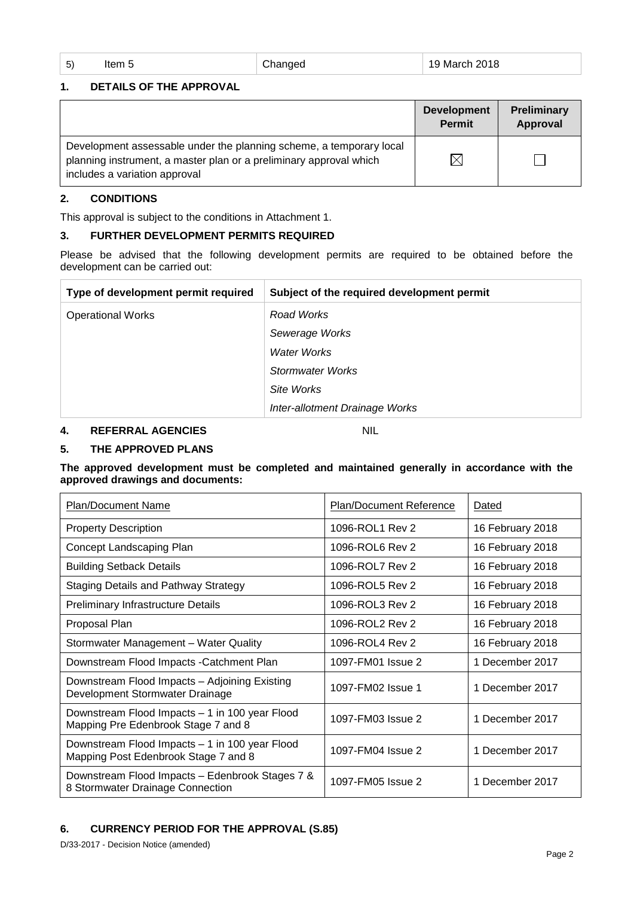| 5) |  | ltem ! |  |
|----|--|--------|--|
|    |  |        |  |

5 Changed 19 March 2018

#### **1. DETAILS OF THE APPROVAL**

|                                                                                                                                                                            | <b>Development</b><br><b>Permit</b> | Preliminary<br>Approval |
|----------------------------------------------------------------------------------------------------------------------------------------------------------------------------|-------------------------------------|-------------------------|
| Development assessable under the planning scheme, a temporary local<br>planning instrument, a master plan or a preliminary approval which<br>includes a variation approval | $\boxtimes$                         |                         |

#### **2. CONDITIONS**

This approval is subject to the conditions in Attachment 1.

#### **3. FURTHER DEVELOPMENT PERMITS REQUIRED**

Please be advised that the following development permits are required to be obtained before the development can be carried out:

| Type of development permit required | Subject of the required development permit |
|-------------------------------------|--------------------------------------------|
| <b>Operational Works</b>            | Road Works                                 |
|                                     | Sewerage Works                             |
|                                     | Water Works                                |
|                                     | Stormwater Works                           |
|                                     | Site Works                                 |
|                                     | Inter-allotment Drainage Works             |

#### **4. REFERRAL AGENCIES** NIL

#### **5. THE APPROVED PLANS**

**The approved development must be completed and maintained generally in accordance with the approved drawings and documents:**

| Plan/Document Name                                                                     | <b>Plan/Document Reference</b> | Dated            |
|----------------------------------------------------------------------------------------|--------------------------------|------------------|
| <b>Property Description</b>                                                            | 1096-ROL1 Rev 2                | 16 February 2018 |
| Concept Landscaping Plan                                                               | 1096-ROL6 Rev 2                | 16 February 2018 |
| <b>Building Setback Details</b>                                                        | 1096-ROL7 Rev 2                | 16 February 2018 |
| Staging Details and Pathway Strategy                                                   | 1096-ROL5 Rev 2                | 16 February 2018 |
| Preliminary Infrastructure Details                                                     | 1096-ROL3 Rev 2                | 16 February 2018 |
| Proposal Plan                                                                          | 1096-ROL2 Rev 2                | 16 February 2018 |
| Stormwater Management - Water Quality                                                  | 1096-ROL4 Rev 2                | 16 February 2018 |
| Downstream Flood Impacts - Catchment Plan                                              | 1097-FM01 Issue 2              | 1 December 2017  |
| Downstream Flood Impacts - Adjoining Existing<br>Development Stormwater Drainage       | 1097-FM02 Issue 1              | 1 December 2017  |
| Downstream Flood Impacts - 1 in 100 year Flood<br>Mapping Pre Edenbrook Stage 7 and 8  | 1097-FM03 Issue 2              | 1 December 2017  |
| Downstream Flood Impacts - 1 in 100 year Flood<br>Mapping Post Edenbrook Stage 7 and 8 | 1097-FM04 Issue 2              | 1 December 2017  |
| Downstream Flood Impacts - Edenbrook Stages 7 &<br>8 Stormwater Drainage Connection    | 1097-FM05 Issue 2              | 1 December 2017  |

## **6. CURRENCY PERIOD FOR THE APPROVAL (S.85)**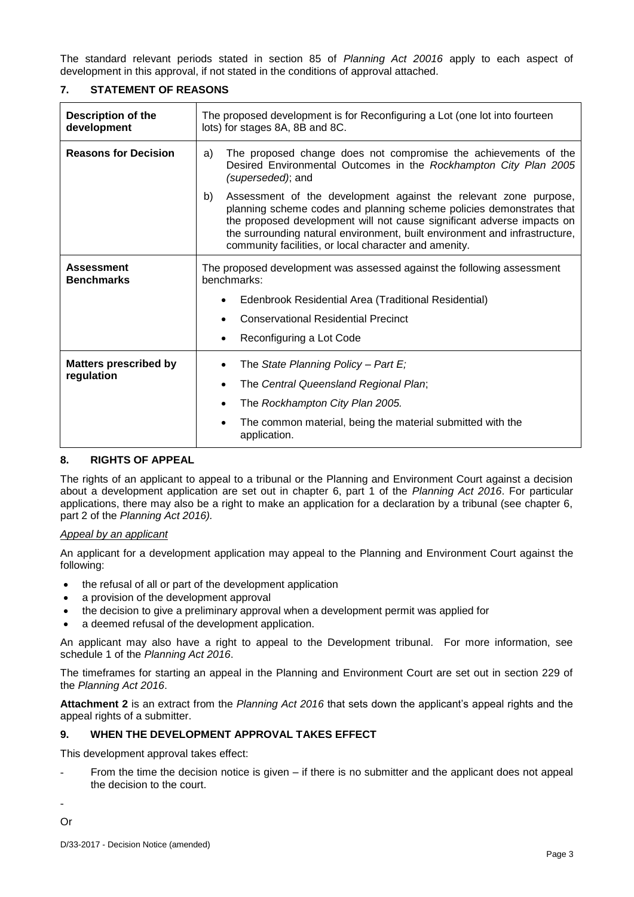The standard relevant periods stated in section 85 of *Planning Act 20016* apply to each aspect of development in this approval, if not stated in the conditions of approval attached.

#### **7. STATEMENT OF REASONS**

| <b>Description of the</b><br>development | The proposed development is for Reconfiguring a Lot (one lot into fourteen<br>lots) for stages 8A, 8B and 8C.                                                                                                                                                                                                                                                   |  |
|------------------------------------------|-----------------------------------------------------------------------------------------------------------------------------------------------------------------------------------------------------------------------------------------------------------------------------------------------------------------------------------------------------------------|--|
| <b>Reasons for Decision</b>              | The proposed change does not compromise the achievements of the<br>a)<br>Desired Environmental Outcomes in the Rockhampton City Plan 2005<br>(superseded); and                                                                                                                                                                                                  |  |
|                                          | Assessment of the development against the relevant zone purpose,<br>b)<br>planning scheme codes and planning scheme policies demonstrates that<br>the proposed development will not cause significant adverse impacts on<br>the surrounding natural environment, built environment and infrastructure,<br>community facilities, or local character and amenity. |  |
| <b>Assessment</b><br><b>Benchmarks</b>   | The proposed development was assessed against the following assessment<br>benchmarks:                                                                                                                                                                                                                                                                           |  |
|                                          | Edenbrook Residential Area (Traditional Residential)                                                                                                                                                                                                                                                                                                            |  |
|                                          | <b>Conservational Residential Precinct</b>                                                                                                                                                                                                                                                                                                                      |  |
|                                          | Reconfiguring a Lot Code                                                                                                                                                                                                                                                                                                                                        |  |
| <b>Matters prescribed by</b>             | The State Planning Policy - Part $E_i$                                                                                                                                                                                                                                                                                                                          |  |
| regulation                               | The Central Queensland Regional Plan;<br>٠                                                                                                                                                                                                                                                                                                                      |  |
|                                          | The Rockhampton City Plan 2005.<br>٠                                                                                                                                                                                                                                                                                                                            |  |
|                                          | The common material, being the material submitted with the<br>application.                                                                                                                                                                                                                                                                                      |  |

#### **8. RIGHTS OF APPEAL**

The rights of an applicant to appeal to a tribunal or the Planning and Environment Court against a decision about a development application are set out in chapter 6, part 1 of the *Planning Act 2016*. For particular applications, there may also be a right to make an application for a declaration by a tribunal (see chapter 6, part 2 of the *Planning Act 2016).*

#### *Appeal by an applicant*

An applicant for a development application may appeal to the Planning and Environment Court against the following:

- the refusal of all or part of the development application
- a provision of the development approval
- the decision to give a preliminary approval when a development permit was applied for
- a deemed refusal of the development application.

An applicant may also have a right to appeal to the Development tribunal. For more information, see schedule 1 of the *Planning Act 2016*.

The timeframes for starting an appeal in the Planning and Environment Court are set out in section 229 of the *Planning Act 2016*.

**Attachment 2** is an extract from the *Planning Act 2016* that sets down the applicant's appeal rights and the appeal rights of a submitter.

#### **9. WHEN THE DEVELOPMENT APPROVAL TAKES EFFECT**

This development approval takes effect:

From the time the decision notice is given – if there is no submitter and the applicant does not appeal the decision to the court.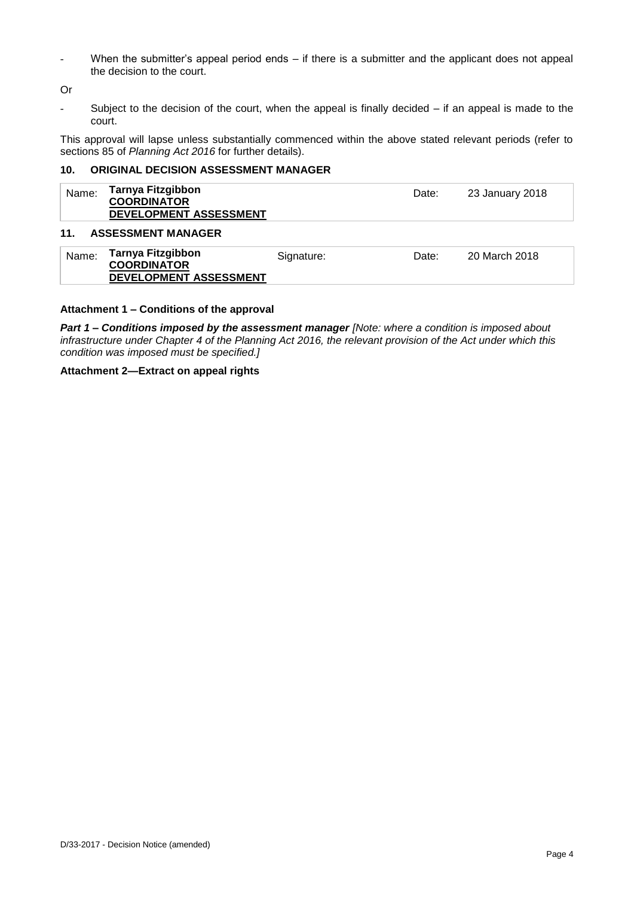When the submitter's appeal period ends  $-$  if there is a submitter and the applicant does not appeal the decision to the court.

Or

- Subject to the decision of the court, when the appeal is finally decided – if an appeal is made to the court.

This approval will lapse unless substantially commenced within the above stated relevant periods (refer to sections 85 of *Planning Act 2016* for further details).

#### **10. ORIGINAL DECISION ASSESSMENT MANAGER**

| Tarnya Fitzgibbon<br>Name:<br><b>COORDINATOR</b><br>DEVELOPMENT ASSESSMENT |                           | Date:      | 23 January 2018 |               |
|----------------------------------------------------------------------------|---------------------------|------------|-----------------|---------------|
| 11.                                                                        | <b>ASSESSMENT MANAGER</b> |            |                 |               |
| Name:                                                                      | <b>Tarnya Fitzgibbon</b>  | Signature: | Date:           | 20 March 2018 |

# **Attachment 1 – Conditions of the approval**

**DEVELOPMENT ASSESSMENT**

*Part 1* **–** *Conditions imposed by the assessment manager [Note: where a condition is imposed about infrastructure under Chapter 4 of the Planning Act 2016, the relevant provision of the Act under which this condition was imposed must be specified.]*

**Attachment 2—Extract on appeal rights**

**COORDINATOR**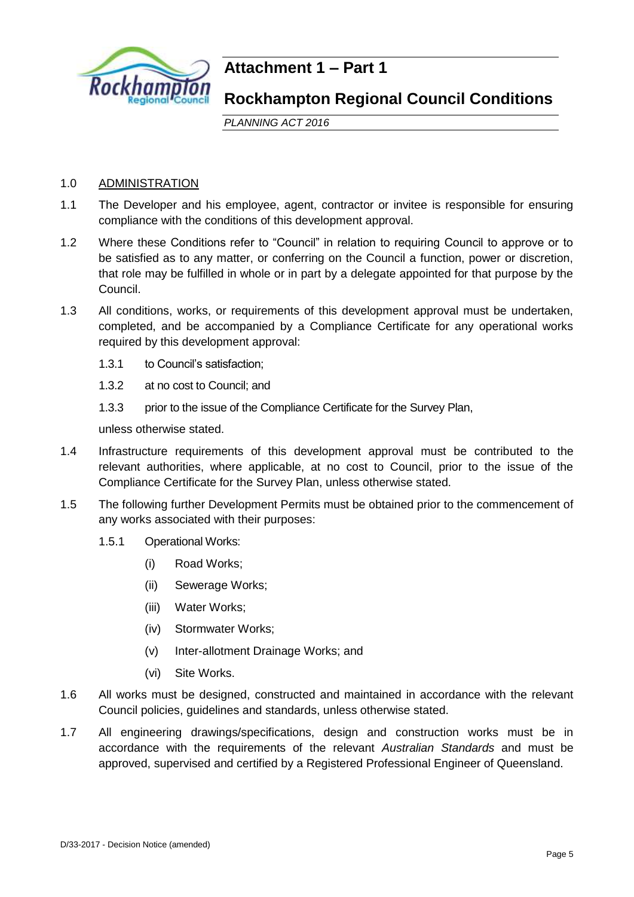

# **Attachment 1 – Part 1**

# **Rockhampton Regional Council Conditions**

*PLANNING ACT 2016*

## 1.0 ADMINISTRATION

- 1.1 The Developer and his employee, agent, contractor or invitee is responsible for ensuring compliance with the conditions of this development approval.
- 1.2 Where these Conditions refer to "Council" in relation to requiring Council to approve or to be satisfied as to any matter, or conferring on the Council a function, power or discretion, that role may be fulfilled in whole or in part by a delegate appointed for that purpose by the Council.
- 1.3 All conditions, works, or requirements of this development approval must be undertaken, completed, and be accompanied by a Compliance Certificate for any operational works required by this development approval:
	- 1.3.1 to Council's satisfaction;
	- 1.3.2 at no cost to Council; and
	- 1.3.3 prior to the issue of the Compliance Certificate for the Survey Plan,

unless otherwise stated.

- 1.4 Infrastructure requirements of this development approval must be contributed to the relevant authorities, where applicable, at no cost to Council, prior to the issue of the Compliance Certificate for the Survey Plan, unless otherwise stated.
- 1.5 The following further Development Permits must be obtained prior to the commencement of any works associated with their purposes:
	- 1.5.1 Operational Works:
		- (i) Road Works;
		- (ii) Sewerage Works;
		- (iii) Water Works;
		- (iv) Stormwater Works;
		- (v) Inter-allotment Drainage Works; and
		- (vi) Site Works.
- 1.6 All works must be designed, constructed and maintained in accordance with the relevant Council policies, guidelines and standards, unless otherwise stated.
- 1.7 All engineering drawings/specifications, design and construction works must be in accordance with the requirements of the relevant *Australian Standards* and must be approved, supervised and certified by a Registered Professional Engineer of Queensland.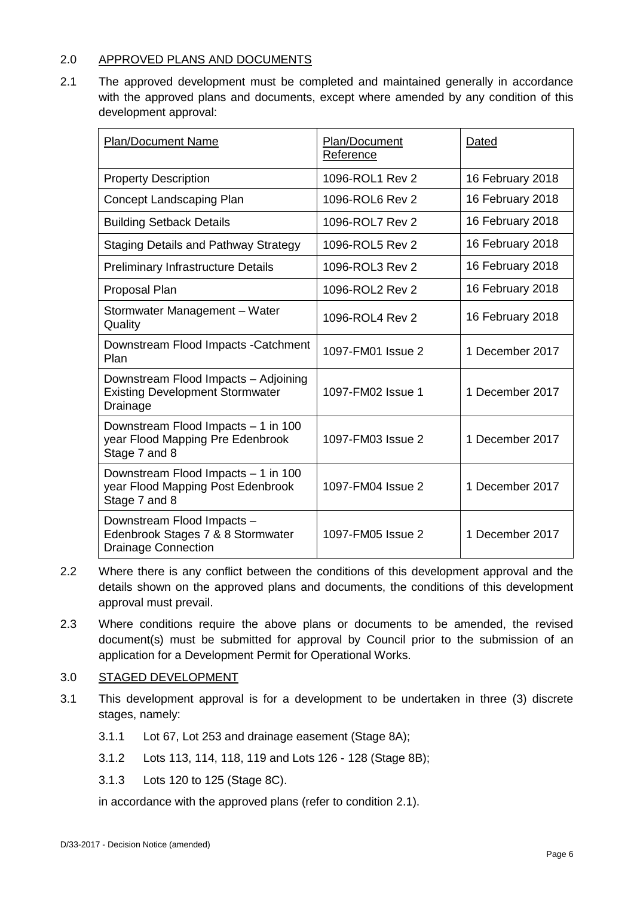## 2.0 APPROVED PLANS AND DOCUMENTS

2.1 The approved development must be completed and maintained generally in accordance with the approved plans and documents, except where amended by any condition of this development approval:

| <b>Plan/Document Name</b>                                                                     | Plan/Document<br>Reference | Dated            |
|-----------------------------------------------------------------------------------------------|----------------------------|------------------|
| <b>Property Description</b>                                                                   | 1096-ROL1 Rev 2            | 16 February 2018 |
| <b>Concept Landscaping Plan</b>                                                               | 1096-ROL6 Rev 2            | 16 February 2018 |
| <b>Building Setback Details</b>                                                               | 1096-ROL7 Rev 2            | 16 February 2018 |
| <b>Staging Details and Pathway Strategy</b>                                                   | 1096-ROL5 Rev 2            | 16 February 2018 |
| <b>Preliminary Infrastructure Details</b>                                                     | 1096-ROL3 Rev 2            | 16 February 2018 |
| Proposal Plan                                                                                 | 1096-ROL2 Rev 2            | 16 February 2018 |
| Stormwater Management - Water<br>Quality                                                      | 1096-ROL4 Rev 2            | 16 February 2018 |
| Downstream Flood Impacts - Catchment<br>Plan                                                  | 1097-FM01 Issue 2          | 1 December 2017  |
| Downstream Flood Impacts - Adjoining<br><b>Existing Development Stormwater</b><br>Drainage    | 1097-FM02 Issue 1          | 1 December 2017  |
| Downstream Flood Impacts - 1 in 100<br>year Flood Mapping Pre Edenbrook<br>Stage 7 and 8      | 1097-FM03 Issue 2          | 1 December 2017  |
| Downstream Flood Impacts - 1 in 100<br>year Flood Mapping Post Edenbrook<br>Stage 7 and 8     | 1097-FM04 Issue 2          | 1 December 2017  |
| Downstream Flood Impacts -<br>Edenbrook Stages 7 & 8 Stormwater<br><b>Drainage Connection</b> | 1097-FM05 Issue 2          | 1 December 2017  |

- 2.2 Where there is any conflict between the conditions of this development approval and the details shown on the approved plans and documents, the conditions of this development approval must prevail.
- 2.3 Where conditions require the above plans or documents to be amended, the revised document(s) must be submitted for approval by Council prior to the submission of an application for a Development Permit for Operational Works.

## 3.0 STAGED DEVELOPMENT

- 3.1 This development approval is for a development to be undertaken in three (3) discrete stages, namely:
	- 3.1.1 Lot 67, Lot 253 and drainage easement (Stage 8A);
	- 3.1.2 Lots 113, 114, 118, 119 and Lots 126 128 (Stage 8B);
	- 3.1.3 Lots 120 to 125 (Stage 8C).

in accordance with the approved plans (refer to condition 2.1).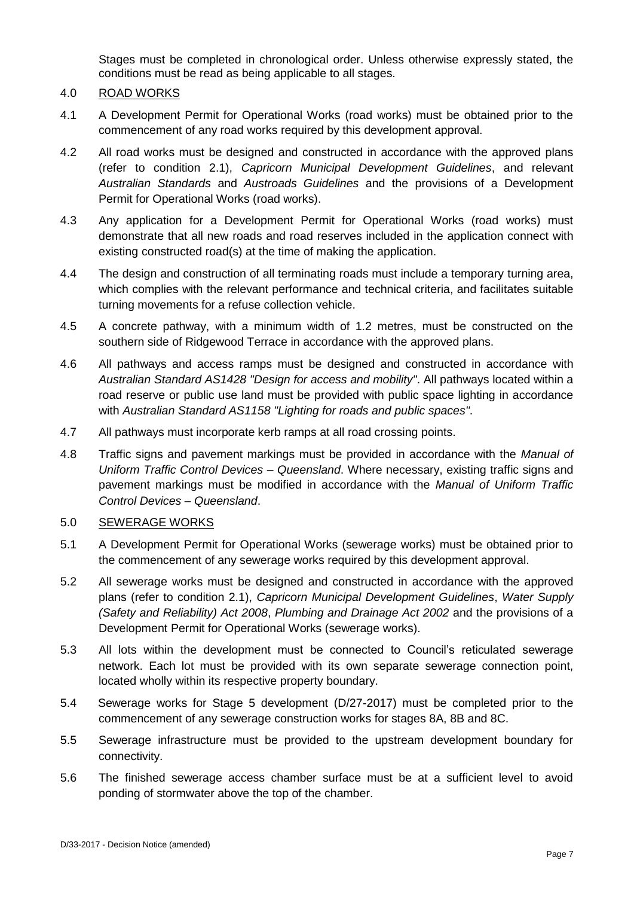Stages must be completed in chronological order. Unless otherwise expressly stated, the conditions must be read as being applicable to all stages.

## 4.0 ROAD WORKS

- 4.1 A Development Permit for Operational Works (road works) must be obtained prior to the commencement of any road works required by this development approval.
- 4.2 All road works must be designed and constructed in accordance with the approved plans (refer to condition 2.1), *Capricorn Municipal Development Guidelines*, and relevant *Australian Standards* and *Austroads Guidelines* and the provisions of a Development Permit for Operational Works (road works).
- 4.3 Any application for a Development Permit for Operational Works (road works) must demonstrate that all new roads and road reserves included in the application connect with existing constructed road(s) at the time of making the application.
- 4.4 The design and construction of all terminating roads must include a temporary turning area, which complies with the relevant performance and technical criteria, and facilitates suitable turning movements for a refuse collection vehicle.
- 4.5 A concrete pathway, with a minimum width of 1.2 metres, must be constructed on the southern side of Ridgewood Terrace in accordance with the approved plans.
- 4.6 All pathways and access ramps must be designed and constructed in accordance with *Australian Standard AS1428 "Design for access and mobility"*. All pathways located within a road reserve or public use land must be provided with public space lighting in accordance with *Australian Standard AS1158 "Lighting for roads and public spaces"*.
- 4.7 All pathways must incorporate kerb ramps at all road crossing points.
- 4.8 Traffic signs and pavement markings must be provided in accordance with the *Manual of Uniform Traffic Control Devices – Queensland*. Where necessary, existing traffic signs and pavement markings must be modified in accordance with the *Manual of Uniform Traffic Control Devices – Queensland*.

## 5.0 SEWERAGE WORKS

- 5.1 A Development Permit for Operational Works (sewerage works) must be obtained prior to the commencement of any sewerage works required by this development approval.
- 5.2 All sewerage works must be designed and constructed in accordance with the approved plans (refer to condition 2.1), *Capricorn Municipal Development Guidelines*, *Water Supply (Safety and Reliability) Act 2008*, *Plumbing and Drainage Act 2002* and the provisions of a Development Permit for Operational Works (sewerage works).
- 5.3 All lots within the development must be connected to Council's reticulated sewerage network. Each lot must be provided with its own separate sewerage connection point, located wholly within its respective property boundary.
- 5.4 Sewerage works for Stage 5 development (D/27-2017) must be completed prior to the commencement of any sewerage construction works for stages 8A, 8B and 8C.
- 5.5 Sewerage infrastructure must be provided to the upstream development boundary for connectivity.
- 5.6 The finished sewerage access chamber surface must be at a sufficient level to avoid ponding of stormwater above the top of the chamber.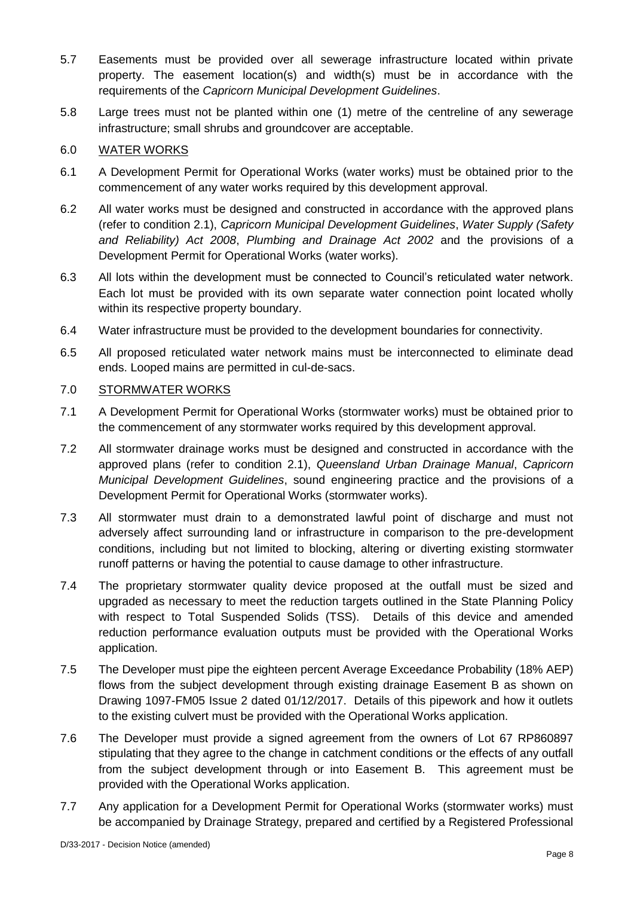- 5.7 Easements must be provided over all sewerage infrastructure located within private property. The easement location(s) and width(s) must be in accordance with the requirements of the *Capricorn Municipal Development Guidelines*.
- 5.8 Large trees must not be planted within one (1) metre of the centreline of any sewerage infrastructure; small shrubs and groundcover are acceptable.

## 6.0 WATER WORKS

- 6.1 A Development Permit for Operational Works (water works) must be obtained prior to the commencement of any water works required by this development approval.
- 6.2 All water works must be designed and constructed in accordance with the approved plans (refer to condition 2.1), *Capricorn Municipal Development Guidelines*, *Water Supply (Safety and Reliability) Act 2008*, *Plumbing and Drainage Act 2002* and the provisions of a Development Permit for Operational Works (water works).
- 6.3 All lots within the development must be connected to Council's reticulated water network. Each lot must be provided with its own separate water connection point located wholly within its respective property boundary.
- 6.4 Water infrastructure must be provided to the development boundaries for connectivity.
- 6.5 All proposed reticulated water network mains must be interconnected to eliminate dead ends. Looped mains are permitted in cul-de-sacs.

## 7.0 STORMWATER WORKS

- 7.1 A Development Permit for Operational Works (stormwater works) must be obtained prior to the commencement of any stormwater works required by this development approval.
- 7.2 All stormwater drainage works must be designed and constructed in accordance with the approved plans (refer to condition 2.1), *Queensland Urban Drainage Manual*, *Capricorn Municipal Development Guidelines*, sound engineering practice and the provisions of a Development Permit for Operational Works (stormwater works).
- 7.3 All stormwater must drain to a demonstrated lawful point of discharge and must not adversely affect surrounding land or infrastructure in comparison to the pre-development conditions, including but not limited to blocking, altering or diverting existing stormwater runoff patterns or having the potential to cause damage to other infrastructure.
- 7.4 The proprietary stormwater quality device proposed at the outfall must be sized and upgraded as necessary to meet the reduction targets outlined in the State Planning Policy with respect to Total Suspended Solids (TSS). Details of this device and amended reduction performance evaluation outputs must be provided with the Operational Works application.
- 7.5 The Developer must pipe the eighteen percent Average Exceedance Probability (18% AEP) flows from the subject development through existing drainage Easement B as shown on Drawing 1097-FM05 Issue 2 dated 01/12/2017. Details of this pipework and how it outlets to the existing culvert must be provided with the Operational Works application.
- 7.6 The Developer must provide a signed agreement from the owners of Lot 67 RP860897 stipulating that they agree to the change in catchment conditions or the effects of any outfall from the subject development through or into Easement B. This agreement must be provided with the Operational Works application.
- 7.7 Any application for a Development Permit for Operational Works (stormwater works) must be accompanied by Drainage Strategy, prepared and certified by a Registered Professional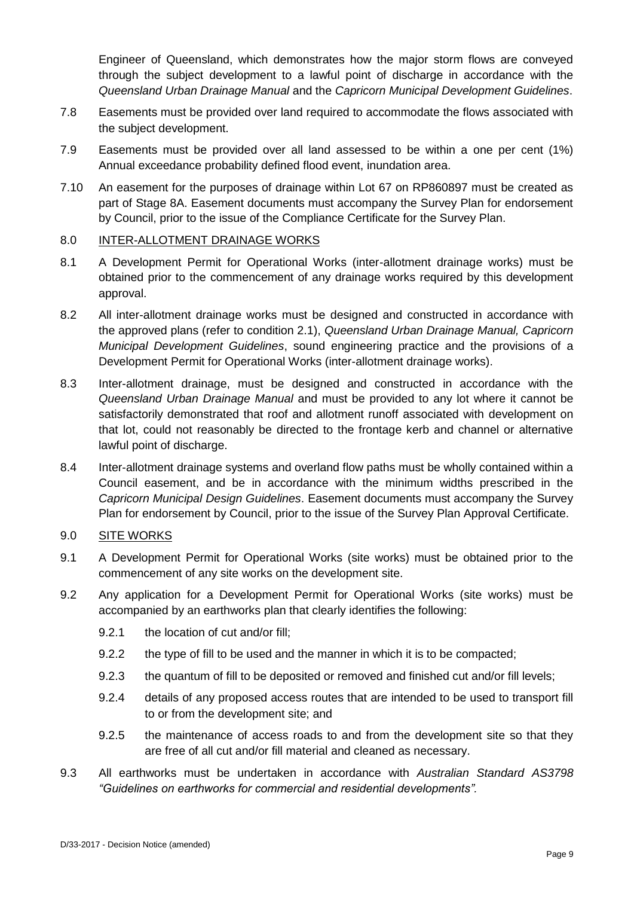Engineer of Queensland, which demonstrates how the major storm flows are conveyed through the subject development to a lawful point of discharge in accordance with the *Queensland Urban Drainage Manual* and the *Capricorn Municipal Development Guidelines*.

- 7.8 Easements must be provided over land required to accommodate the flows associated with the subject development.
- 7.9 Easements must be provided over all land assessed to be within a one per cent (1%) Annual exceedance probability defined flood event, inundation area.
- 7.10 An easement for the purposes of drainage within Lot 67 on RP860897 must be created as part of Stage 8A. Easement documents must accompany the Survey Plan for endorsement by Council, prior to the issue of the Compliance Certificate for the Survey Plan.

#### 8.0 INTER-ALLOTMENT DRAINAGE WORKS

- 8.1 A Development Permit for Operational Works (inter-allotment drainage works) must be obtained prior to the commencement of any drainage works required by this development approval.
- 8.2 All inter-allotment drainage works must be designed and constructed in accordance with the approved plans (refer to condition 2.1), *Queensland Urban Drainage Manual, Capricorn Municipal Development Guidelines*, sound engineering practice and the provisions of a Development Permit for Operational Works (inter-allotment drainage works).
- 8.3 Inter-allotment drainage, must be designed and constructed in accordance with the *Queensland Urban Drainage Manual* and must be provided to any lot where it cannot be satisfactorily demonstrated that roof and allotment runoff associated with development on that lot, could not reasonably be directed to the frontage kerb and channel or alternative lawful point of discharge.
- 8.4 Inter-allotment drainage systems and overland flow paths must be wholly contained within a Council easement, and be in accordance with the minimum widths prescribed in the *Capricorn Municipal Design Guidelines*. Easement documents must accompany the Survey Plan for endorsement by Council, prior to the issue of the Survey Plan Approval Certificate.

## 9.0 SITE WORKS

- 9.1 A Development Permit for Operational Works (site works) must be obtained prior to the commencement of any site works on the development site.
- 9.2 Any application for a Development Permit for Operational Works (site works) must be accompanied by an earthworks plan that clearly identifies the following:
	- 9.2.1 the location of cut and/or fill;
	- 9.2.2 the type of fill to be used and the manner in which it is to be compacted;
	- 9.2.3 the quantum of fill to be deposited or removed and finished cut and/or fill levels;
	- 9.2.4 details of any proposed access routes that are intended to be used to transport fill to or from the development site; and
	- 9.2.5 the maintenance of access roads to and from the development site so that they are free of all cut and/or fill material and cleaned as necessary.
- 9.3 All earthworks must be undertaken in accordance with *Australian Standard AS3798 "Guidelines on earthworks for commercial and residential developments".*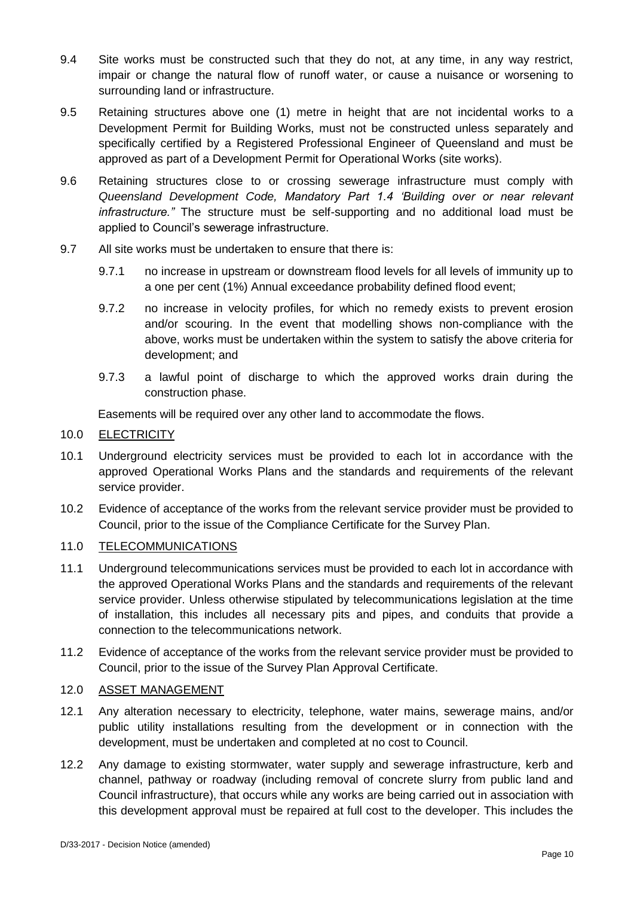- 9.4 Site works must be constructed such that they do not, at any time, in any way restrict, impair or change the natural flow of runoff water, or cause a nuisance or worsening to surrounding land or infrastructure.
- 9.5 Retaining structures above one (1) metre in height that are not incidental works to a Development Permit for Building Works, must not be constructed unless separately and specifically certified by a Registered Professional Engineer of Queensland and must be approved as part of a Development Permit for Operational Works (site works).
- 9.6 Retaining structures close to or crossing sewerage infrastructure must comply with *Queensland Development Code, Mandatory Part 1.4 'Building over or near relevant infrastructure."* The structure must be self-supporting and no additional load must be applied to Council's sewerage infrastructure.
- 9.7 All site works must be undertaken to ensure that there is:
	- 9.7.1 no increase in upstream or downstream flood levels for all levels of immunity up to a one per cent (1%) Annual exceedance probability defined flood event;
	- 9.7.2 no increase in velocity profiles, for which no remedy exists to prevent erosion and/or scouring. In the event that modelling shows non-compliance with the above, works must be undertaken within the system to satisfy the above criteria for development; and
	- 9.7.3 a lawful point of discharge to which the approved works drain during the construction phase.

Easements will be required over any other land to accommodate the flows.

#### 10.0 **ELECTRICITY**

- 10.1 Underground electricity services must be provided to each lot in accordance with the approved Operational Works Plans and the standards and requirements of the relevant service provider.
- 10.2 Evidence of acceptance of the works from the relevant service provider must be provided to Council, prior to the issue of the Compliance Certificate for the Survey Plan.

## 11.0 TELECOMMUNICATIONS

- 11.1 Underground telecommunications services must be provided to each lot in accordance with the approved Operational Works Plans and the standards and requirements of the relevant service provider. Unless otherwise stipulated by telecommunications legislation at the time of installation, this includes all necessary pits and pipes, and conduits that provide a connection to the telecommunications network.
- 11.2 Evidence of acceptance of the works from the relevant service provider must be provided to Council, prior to the issue of the Survey Plan Approval Certificate.

#### 12.0 ASSET MANAGEMENT

- 12.1 Any alteration necessary to electricity, telephone, water mains, sewerage mains, and/or public utility installations resulting from the development or in connection with the development, must be undertaken and completed at no cost to Council.
- 12.2 Any damage to existing stormwater, water supply and sewerage infrastructure, kerb and channel, pathway or roadway (including removal of concrete slurry from public land and Council infrastructure), that occurs while any works are being carried out in association with this development approval must be repaired at full cost to the developer. This includes the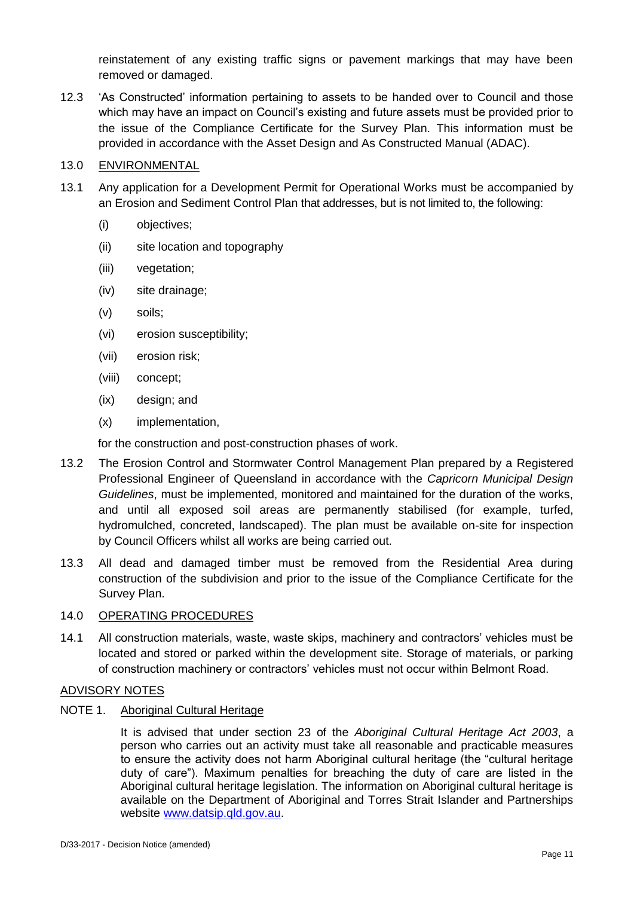reinstatement of any existing traffic signs or pavement markings that may have been removed or damaged.

12.3 'As Constructed' information pertaining to assets to be handed over to Council and those which may have an impact on Council's existing and future assets must be provided prior to the issue of the Compliance Certificate for the Survey Plan. This information must be provided in accordance with the Asset Design and As Constructed Manual (ADAC).

## 13.0 ENVIRONMENTAL

- 13.1 Any application for a Development Permit for Operational Works must be accompanied by an Erosion and Sediment Control Plan that addresses, but is not limited to, the following:
	- (i) objectives;
	- (ii) site location and topography
	- (iii) vegetation;
	- (iv) site drainage;
	- (v) soils;
	- (vi) erosion susceptibility;
	- (vii) erosion risk;
	- (viii) concept;
	- (ix) design; and
	- (x) implementation,

for the construction and post-construction phases of work.

- 13.2 The Erosion Control and Stormwater Control Management Plan prepared by a Registered Professional Engineer of Queensland in accordance with the *Capricorn Municipal Design Guidelines*, must be implemented, monitored and maintained for the duration of the works, and until all exposed soil areas are permanently stabilised (for example, turfed, hydromulched, concreted, landscaped). The plan must be available on-site for inspection by Council Officers whilst all works are being carried out.
- 13.3 All dead and damaged timber must be removed from the Residential Area during construction of the subdivision and prior to the issue of the Compliance Certificate for the Survey Plan.

## 14.0 OPERATING PROCEDURES

14.1 All construction materials, waste, waste skips, machinery and contractors' vehicles must be located and stored or parked within the development site. Storage of materials, or parking of construction machinery or contractors' vehicles must not occur within Belmont Road.

## ADVISORY NOTES

## NOTE 1. Aboriginal Cultural Heritage

It is advised that under section 23 of the *Aboriginal Cultural Heritage Act 2003*, a person who carries out an activity must take all reasonable and practicable measures to ensure the activity does not harm Aboriginal cultural heritage (the "cultural heritage duty of care"). Maximum penalties for breaching the duty of care are listed in the Aboriginal cultural heritage legislation. The information on Aboriginal cultural heritage is available on the Department of Aboriginal and Torres Strait Islander and Partnerships website [www.datsip.qld.gov.au.](http://www.datsip.qld.gov.au/)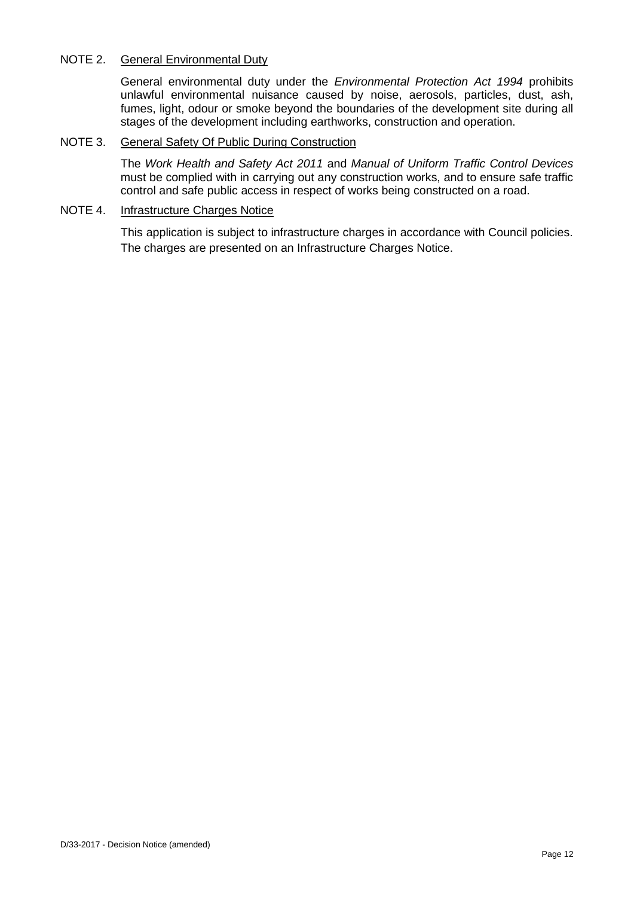## NOTE 2. General Environmental Duty

General environmental duty under the *Environmental Protection Act 1994* prohibits unlawful environmental nuisance caused by noise, aerosols, particles, dust, ash, fumes, light, odour or smoke beyond the boundaries of the development site during all stages of the development including earthworks, construction and operation.

#### NOTE 3. General Safety Of Public During Construction

The *Work Health and Safety Act 2011* and *Manual of Uniform Traffic Control Devices* must be complied with in carrying out any construction works, and to ensure safe traffic control and safe public access in respect of works being constructed on a road.

## NOTE 4. Infrastructure Charges Notice

This application is subject to infrastructure charges in accordance with Council policies. The charges are presented on an Infrastructure Charges Notice.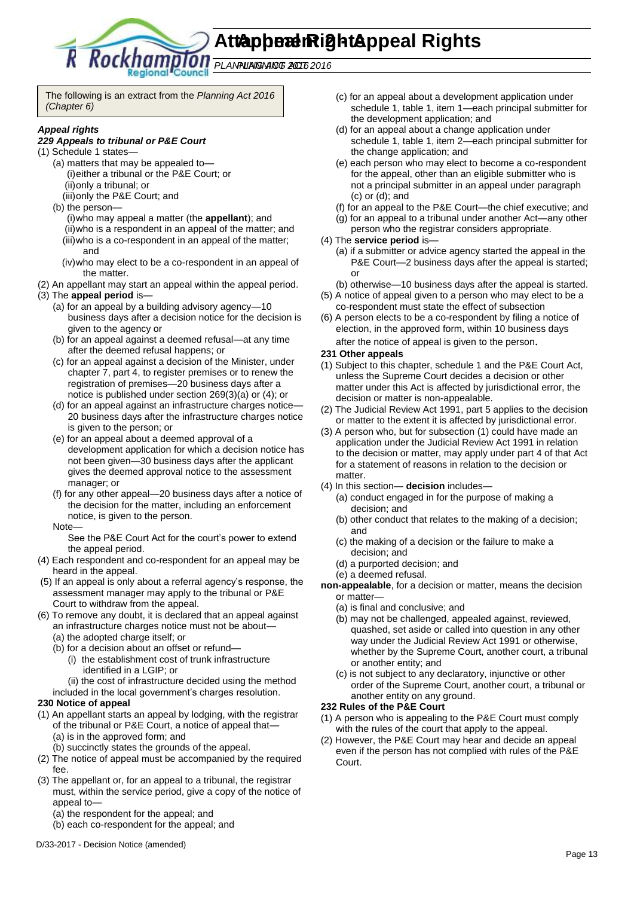**Attachment 2 - Appeal Rights Appeal Rights** 

*PLANNING ACT 2016 PLANNING ACT 2016*

The following is an extract from the *Planning Act 2016 (Chapter 6)*

Council

#### *Appeal rights*

#### *229 Appeals to tribunal or P&E Court*

- (1) Schedule 1 states—
	- (a) matters that may be appealed to— (i)either a tribunal or the P&E Court; or (ii)only a tribunal; or
		- (iii)only the P&E Court; and
	- (b) the person—
		- (i)who may appeal a matter (the **appellant**); and (ii)who is a respondent in an appeal of the matter; and (iii)who is a co-respondent in an appeal of the matter; and
		- (iv)who may elect to be a co-respondent in an appeal of the matter.
- (2) An appellant may start an appeal within the appeal period.
- (3) The **appeal period** is—
	- (a) for an appeal by a building advisory agency—10 business days after a decision notice for the decision is given to the agency or
	- (b) for an appeal against a deemed refusal—at any time after the deemed refusal happens; or
	- (c) for an appeal against a decision of the Minister, under chapter 7, part 4, to register premises or to renew the registration of premises—20 business days after a notice is published under section 269(3)(a) or (4); or
	- (d) for an appeal against an infrastructure charges notice— 20 business days after the infrastructure charges notice is given to the person; or
	- (e) for an appeal about a deemed approval of a development application for which a decision notice has not been given—30 business days after the applicant gives the deemed approval notice to the assessment manager; or
	- (f) for any other appeal—20 business days after a notice of the decision for the matter, including an enforcement notice, is given to the person.
	- Note—

See the P&E Court Act for the court's power to extend the appeal period.

- (4) Each respondent and co-respondent for an appeal may be heard in the appeal.
- (5) If an appeal is only about a referral agency's response, the assessment manager may apply to the tribunal or P&E Court to withdraw from the appeal.
- (6) To remove any doubt, it is declared that an appeal against an infrastructure charges notice must not be about—
	- (a) the adopted charge itself; or
	- (b) for a decision about an offset or refund—
		- (i) the establishment cost of trunk infrastructure identified in a LGIP; or
		- (ii) the cost of infrastructure decided using the method
	- included in the local government's charges resolution.

#### **230 Notice of appeal**

- (1) An appellant starts an appeal by lodging, with the registrar of the tribunal or P&E Court, a notice of appeal that— (a) is in the approved form; and
	- (b) succinctly states the grounds of the appeal.
- (2) The notice of appeal must be accompanied by the required fee.
- (3) The appellant or, for an appeal to a tribunal, the registrar must, within the service period, give a copy of the notice of appeal to—
	- (a) the respondent for the appeal; and
	- (b) each co-respondent for the appeal; and
- (c) for an appeal about a development application under schedule 1, table 1, item 1—each principal submitter for the development application; and
- (d) for an appeal about a change application under schedule 1, table 1, item 2—each principal submitter for the change application; and
- (e) each person who may elect to become a co-respondent for the appeal, other than an eligible submitter who is not a principal submitter in an appeal under paragraph (c) or (d); and
- (f) for an appeal to the P&E Court—the chief executive; and
- (g) for an appeal to a tribunal under another Act—any other
- person who the registrar considers appropriate.
- (4) The **service period** is—
	- (a) if a submitter or advice agency started the appeal in the P&E Court-2 business days after the appeal is started; or
	- (b) otherwise—10 business days after the appeal is started.
- (5) A notice of appeal given to a person who may elect to be a co-respondent must state the effect of subsection
- (6) A person elects to be a co-respondent by filing a notice of election, in the approved form, within 10 business days after the notice of appeal is given to the person*.*

#### **231 Other appeals**

- (1) Subject to this chapter, schedule 1 and the P&E Court Act, unless the Supreme Court decides a decision or other matter under this Act is affected by jurisdictional error, the decision or matter is non-appealable.
- (2) The Judicial Review Act 1991, part 5 applies to the decision or matter to the extent it is affected by jurisdictional error.
- (3) A person who, but for subsection (1) could have made an application under the Judicial Review Act 1991 in relation to the decision or matter, may apply under part 4 of that Act for a statement of reasons in relation to the decision or matter.
- (4) In this section— **decision** includes—
	- (a) conduct engaged in for the purpose of making a decision; and
	- (b) other conduct that relates to the making of a decision; and
	- (c) the making of a decision or the failure to make a decision; and
	- (d) a purported decision; and
	- (e) a deemed refusal.
- **non-appealable**, for a decision or matter, means the decision or matter—
	- (a) is final and conclusive; and
	- (b) may not be challenged, appealed against, reviewed, quashed, set aside or called into question in any other way under the Judicial Review Act 1991 or otherwise, whether by the Supreme Court, another court, a tribunal or another entity; and
	- (c) is not subject to any declaratory, injunctive or other order of the Supreme Court, another court, a tribunal or another entity on any ground.

#### **232 Rules of the P&E Court**

- (1) A person who is appealing to the P&E Court must comply with the rules of the court that apply to the appeal.
- (2) However, the P&E Court may hear and decide an appeal even if the person has not complied with rules of the P&E Court.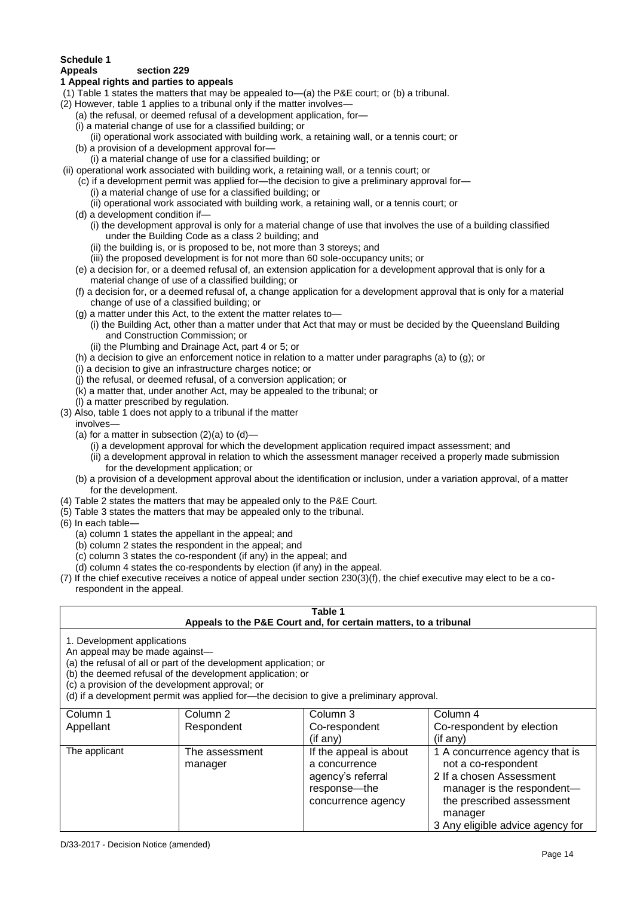## **Schedule 1**

#### **Appeals section 229**

#### **1 Appeal rights and parties to appeals**

- (1) Table 1 states the matters that may be appealed to—(a) the P&E court; or (b) a tribunal.
- (2) However, table 1 applies to a tribunal only if the matter involves—
	- (a) the refusal, or deemed refusal of a development application, for—
	- (i) a material change of use for a classified building; or
	- (ii) operational work associated with building work, a retaining wall, or a tennis court; or (b) a provision of a development approval for—
	- (i) a material change of use for a classified building; or
- (ii) operational work associated with building work, a retaining wall, or a tennis court; or
	- (c) if a development permit was applied for—the decision to give a preliminary approval for—
		- (i) a material change of use for a classified building; or
		- (ii) operational work associated with building work, a retaining wall, or a tennis court; or
	- (d) a development condition if—
		- (i) the development approval is only for a material change of use that involves the use of a building classified under the Building Code as a class 2 building; and
		- (ii) the building is, or is proposed to be, not more than 3 storeys; and
		- (iii) the proposed development is for not more than 60 sole-occupancy units; or
	- (e) a decision for, or a deemed refusal of, an extension application for a development approval that is only for a material change of use of a classified building; or
	- (f) a decision for, or a deemed refusal of, a change application for a development approval that is only for a material change of use of a classified building; or
	- (g) a matter under this Act, to the extent the matter relates to—
	- (i) the Building Act, other than a matter under that Act that may or must be decided by the Queensland Building and Construction Commission; or
	- (ii) the Plumbing and Drainage Act, part 4 or 5; or
	- (h) a decision to give an enforcement notice in relation to a matter under paragraphs (a) to (g); or
	- (i) a decision to give an infrastructure charges notice; or
	- (j) the refusal, or deemed refusal, of a conversion application; or
	- (k) a matter that, under another Act, may be appealed to the tribunal; or
	- (l) a matter prescribed by regulation.
- (3) Also, table 1 does not apply to a tribunal if the matter
- involves—
	- (a) for a matter in subsection  $(2)(a)$  to  $(d)$ 
		- (i) a development approval for which the development application required impact assessment; and
		- (ii) a development approval in relation to which the assessment manager received a properly made submission for the development application; or
	- (b) a provision of a development approval about the identification or inclusion, under a variation approval, of a matter for the development.
- (4) Table 2 states the matters that may be appealed only to the P&E Court.
- (5) Table 3 states the matters that may be appealed only to the tribunal.
- (6) In each table—
	- (a) column 1 states the appellant in the appeal; and
	- (b) column 2 states the respondent in the appeal; and
	- (c) column 3 states the co-respondent (if any) in the appeal; and
	- (d) column 4 states the co-respondents by election (if any) in the appeal.
- (7) If the chief executive receives a notice of appeal under section 230(3)(f), the chief executive may elect to be a corespondent in the appeal.

| Table 1                                                                                                                                                                                                                                                                                                                                                                                                            |                           |                                                                                                    |                                                                                                                                                                                             |  |
|--------------------------------------------------------------------------------------------------------------------------------------------------------------------------------------------------------------------------------------------------------------------------------------------------------------------------------------------------------------------------------------------------------------------|---------------------------|----------------------------------------------------------------------------------------------------|---------------------------------------------------------------------------------------------------------------------------------------------------------------------------------------------|--|
| Appeals to the P&E Court and, for certain matters, to a tribunal<br>1. Development applications<br>An appeal may be made against-<br>(a) the refusal of all or part of the development application; or<br>(b) the deemed refusal of the development application; or<br>(c) a provision of the development approval; or<br>(d) if a development permit was applied for-the decision to give a preliminary approval. |                           |                                                                                                    |                                                                                                                                                                                             |  |
| Column 1<br>Appellant                                                                                                                                                                                                                                                                                                                                                                                              | Column 2<br>Respondent    | Column 3<br>Co-respondent<br>(if any)                                                              | Column 4<br>Co-respondent by election<br>(if any)                                                                                                                                           |  |
| The applicant                                                                                                                                                                                                                                                                                                                                                                                                      | The assessment<br>manager | If the appeal is about<br>a concurrence<br>agency's referral<br>response-the<br>concurrence agency | 1 A concurrence agency that is<br>not a co-respondent<br>2 If a chosen Assessment<br>manager is the respondent-<br>the prescribed assessment<br>manager<br>3 Any eligible advice agency for |  |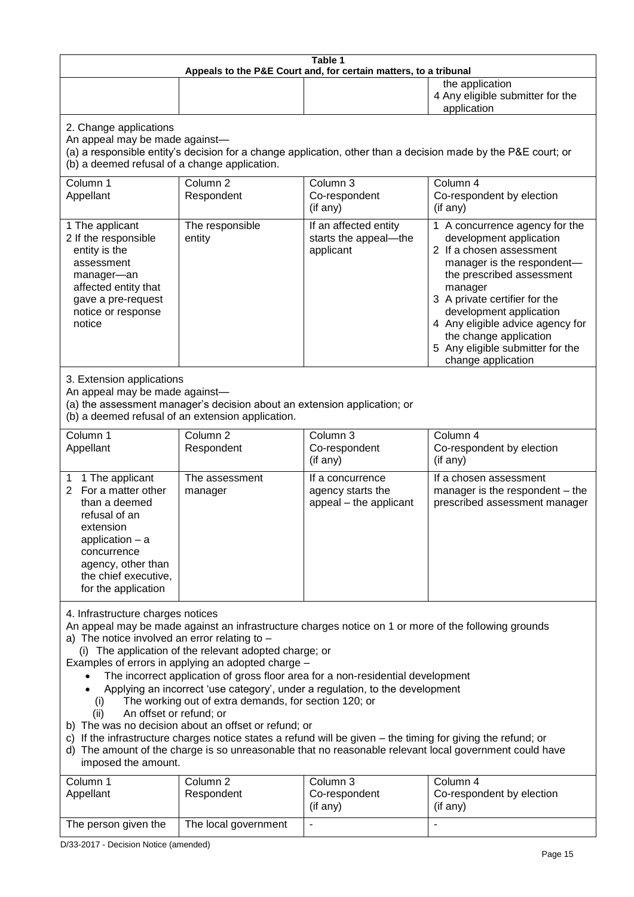| Table 1<br>Appeals to the P&E Court and, for certain matters, to a tribunal                                                                                                                                                                                                                                                                                                                                                                                                                                                                                                                                                                                                                                                                                                                                                                                                                                                                            |                                   |                                                                 |                                                                                                                                                                                                                                                                                                                                                 |  |
|--------------------------------------------------------------------------------------------------------------------------------------------------------------------------------------------------------------------------------------------------------------------------------------------------------------------------------------------------------------------------------------------------------------------------------------------------------------------------------------------------------------------------------------------------------------------------------------------------------------------------------------------------------------------------------------------------------------------------------------------------------------------------------------------------------------------------------------------------------------------------------------------------------------------------------------------------------|-----------------------------------|-----------------------------------------------------------------|-------------------------------------------------------------------------------------------------------------------------------------------------------------------------------------------------------------------------------------------------------------------------------------------------------------------------------------------------|--|
|                                                                                                                                                                                                                                                                                                                                                                                                                                                                                                                                                                                                                                                                                                                                                                                                                                                                                                                                                        |                                   |                                                                 | the application<br>4 Any eligible submitter for the<br>application                                                                                                                                                                                                                                                                              |  |
| 2. Change applications<br>An appeal may be made against-<br>(a) a responsible entity's decision for a change application, other than a decision made by the P&E court; or<br>(b) a deemed refusal of a change application.                                                                                                                                                                                                                                                                                                                                                                                                                                                                                                                                                                                                                                                                                                                             |                                   |                                                                 |                                                                                                                                                                                                                                                                                                                                                 |  |
| Column 1<br>Appellant                                                                                                                                                                                                                                                                                                                                                                                                                                                                                                                                                                                                                                                                                                                                                                                                                                                                                                                                  | Column <sub>2</sub><br>Respondent | Column 3<br>Co-respondent<br>(if any)                           | Column 4<br>Co-respondent by election<br>(if any)                                                                                                                                                                                                                                                                                               |  |
| 1 The applicant<br>2 If the responsible<br>entity is the<br>assessment<br>manager-an<br>affected entity that<br>gave a pre-request<br>notice or response<br>notice                                                                                                                                                                                                                                                                                                                                                                                                                                                                                                                                                                                                                                                                                                                                                                                     | The responsible<br>entity         | If an affected entity<br>starts the appeal-the<br>applicant     | 1 A concurrence agency for the<br>development application<br>2 If a chosen assessment<br>manager is the respondent-<br>the prescribed assessment<br>manager<br>3 A private certifier for the<br>development application<br>4 Any eligible advice agency for<br>the change application<br>5 Any eligible submitter for the<br>change application |  |
| 3. Extension applications<br>An appeal may be made against-<br>(a) the assessment manager's decision about an extension application; or<br>(b) a deemed refusal of an extension application.                                                                                                                                                                                                                                                                                                                                                                                                                                                                                                                                                                                                                                                                                                                                                           |                                   |                                                                 |                                                                                                                                                                                                                                                                                                                                                 |  |
| Column 1<br>Appellant                                                                                                                                                                                                                                                                                                                                                                                                                                                                                                                                                                                                                                                                                                                                                                                                                                                                                                                                  | Column <sub>2</sub><br>Respondent | Column 3<br>Co-respondent<br>(if any)                           | Column 4<br>Co-respondent by election<br>(if any)                                                                                                                                                                                                                                                                                               |  |
| 1 The applicant<br>1<br>For a matter other<br>2<br>than a deemed<br>refusal of an<br>extension<br>application $-$ a<br>concurrence<br>agency, other than<br>the chief executive,<br>for the application                                                                                                                                                                                                                                                                                                                                                                                                                                                                                                                                                                                                                                                                                                                                                | The assessment<br>manager         | If a concurrence<br>agency starts the<br>appeal - the applicant | If a chosen assessment<br>manager is the respondent - the<br>prescribed assessment manager                                                                                                                                                                                                                                                      |  |
| 4. Infrastructure charges notices<br>An appeal may be made against an infrastructure charges notice on 1 or more of the following grounds<br>a) The notice involved an error relating to $-$<br>(i) The application of the relevant adopted charge; or<br>Examples of errors in applying an adopted charge -<br>The incorrect application of gross floor area for a non-residential development<br>Applying an incorrect 'use category', under a regulation, to the development<br>The working out of extra demands, for section 120; or<br>(i)<br>An offset or refund; or<br>(ii)<br>b) The was no decision about an offset or refund; or<br>c) If the infrastructure charges notice states a refund will be given - the timing for giving the refund; or<br>d) The amount of the charge is so unreasonable that no reasonable relevant local government could have<br>imposed the amount.<br>Column 1<br>Column <sub>2</sub><br>Column 3<br>Column 4 |                                   |                                                                 |                                                                                                                                                                                                                                                                                                                                                 |  |
| Appellant                                                                                                                                                                                                                                                                                                                                                                                                                                                                                                                                                                                                                                                                                                                                                                                                                                                                                                                                              | Respondent                        | Co-respondent<br>(if any)                                       | Co-respondent by election<br>(if any)                                                                                                                                                                                                                                                                                                           |  |
| The person given the                                                                                                                                                                                                                                                                                                                                                                                                                                                                                                                                                                                                                                                                                                                                                                                                                                                                                                                                   | The local government              |                                                                 |                                                                                                                                                                                                                                                                                                                                                 |  |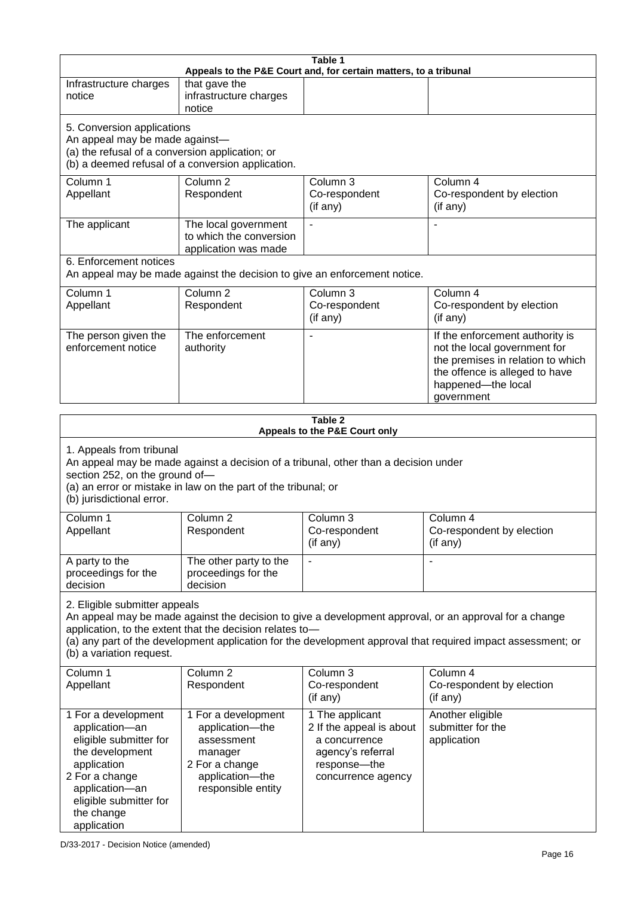| Table 1<br>Appeals to the P&E Court and, for certain matters, to a tribunal                                                                                                                                                                                                       |                                                                         |                                                                           |                                                                                                                                                                                                                        |  |
|-----------------------------------------------------------------------------------------------------------------------------------------------------------------------------------------------------------------------------------------------------------------------------------|-------------------------------------------------------------------------|---------------------------------------------------------------------------|------------------------------------------------------------------------------------------------------------------------------------------------------------------------------------------------------------------------|--|
| Infrastructure charges<br>notice                                                                                                                                                                                                                                                  | that gave the<br>infrastructure charges<br>notice                       |                                                                           |                                                                                                                                                                                                                        |  |
| 5. Conversion applications<br>An appeal may be made against-<br>(a) the refusal of a conversion application; or                                                                                                                                                                   | (b) a deemed refusal of a conversion application.                       |                                                                           |                                                                                                                                                                                                                        |  |
| Column 1<br>Appellant                                                                                                                                                                                                                                                             | Column <sub>2</sub><br>Respondent                                       | Column 3<br>Co-respondent<br>(if any)                                     | Column 4<br>Co-respondent by election<br>(if any)                                                                                                                                                                      |  |
| The applicant                                                                                                                                                                                                                                                                     | The local government<br>to which the conversion<br>application was made |                                                                           | ä,                                                                                                                                                                                                                     |  |
| 6. Enforcement notices                                                                                                                                                                                                                                                            |                                                                         | An appeal may be made against the decision to give an enforcement notice. |                                                                                                                                                                                                                        |  |
| Column 1<br>Appellant                                                                                                                                                                                                                                                             | Column <sub>2</sub><br>Respondent                                       | Column <sub>3</sub><br>Co-respondent<br>(if any)                          | Column 4<br>Co-respondent by election<br>(if any)                                                                                                                                                                      |  |
| The person given the<br>enforcement notice                                                                                                                                                                                                                                        | The enforcement<br>authority                                            |                                                                           | If the enforcement authority is<br>not the local government for<br>the premises in relation to which<br>the offence is alleged to have<br>happened-the local<br>government                                             |  |
|                                                                                                                                                                                                                                                                                   |                                                                         | Table 2                                                                   |                                                                                                                                                                                                                        |  |
| Appeals to the P&E Court only<br>1. Appeals from tribunal<br>An appeal may be made against a decision of a tribunal, other than a decision under<br>section 252, on the ground of-<br>(a) an error or mistake in law on the part of the tribunal; or<br>(b) jurisdictional error. |                                                                         |                                                                           |                                                                                                                                                                                                                        |  |
| Column 1<br>Appellant                                                                                                                                                                                                                                                             | Column <sub>2</sub><br>Respondent                                       | Column 3<br>Co-respondent<br>(if any)                                     | Column 4<br>Co-respondent by election<br>(if any)                                                                                                                                                                      |  |
| A party to the<br>proceedings for the<br>decision                                                                                                                                                                                                                                 | The other party to the<br>proceedings for the<br>decision               |                                                                           |                                                                                                                                                                                                                        |  |
| 2. Eligible submitter appeals<br>(b) a variation request.                                                                                                                                                                                                                         | application, to the extent that the decision relates to-                |                                                                           | An appeal may be made against the decision to give a development approval, or an approval for a change<br>(a) any part of the development application for the development approval that required impact assessment; or |  |
| Column 1<br>Appellant                                                                                                                                                                                                                                                             | Column <sub>2</sub><br>Respondent                                       | Column 3<br>Co-respondent<br>(if any)                                     | Column 4<br>Co-respondent by election<br>(if any)                                                                                                                                                                      |  |
| 1 For a development<br>application-an                                                                                                                                                                                                                                             | 1 For a development<br>application-the                                  | 1 The applicant<br>2 If the appeal is about                               | Another eligible<br>submitter for the                                                                                                                                                                                  |  |

a concurrence agency's referral response—the concurrence agency application

eligible submitter for the development application 2 For a change application—an eligible submitter for

assessment manager 2 For a change application—the responsible entity

the change application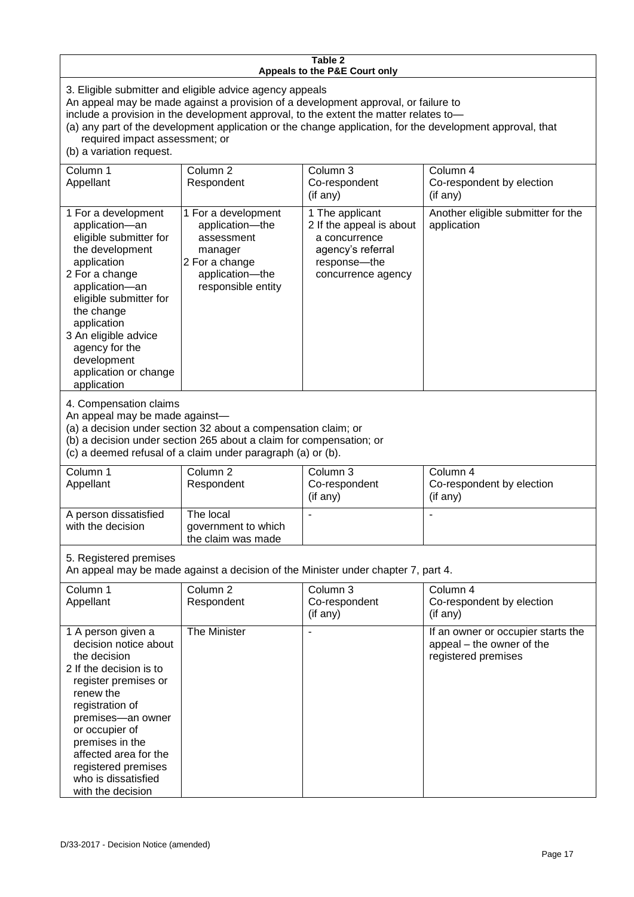#### **Table 2 Appeals to the P&E Court only**

3. Eligible submitter and eligible advice agency appeals

An appeal may be made against a provision of a development approval, or failure to

include a provision in the development approval, to the extent the matter relates to—

(a) any part of the development application or the change application, for the development approval, that required impact assessment; or

(b) a variation request.

| Column 1<br>Appellant                                                                                                                                                                                                                                                                                | Column <sub>2</sub><br>Respondent                                                                                                                                                                    | Column 3<br>Co-respondent<br>(if any)                                                                                   | Column 4<br>Co-respondent by election<br>(if any)                                      |  |
|------------------------------------------------------------------------------------------------------------------------------------------------------------------------------------------------------------------------------------------------------------------------------------------------------|------------------------------------------------------------------------------------------------------------------------------------------------------------------------------------------------------|-------------------------------------------------------------------------------------------------------------------------|----------------------------------------------------------------------------------------|--|
| 1 For a development<br>application-an<br>eligible submitter for<br>the development<br>application<br>2 For a change<br>application-an<br>eligible submitter for<br>the change<br>application<br>3 An eligible advice<br>agency for the<br>development<br>application or change<br>application        | 1 For a development<br>application-the<br>assessment<br>manager<br>2 For a change<br>application-the<br>responsible entity                                                                           | 1 The applicant<br>2 If the appeal is about<br>a concurrence<br>agency's referral<br>response-the<br>concurrence agency | Another eligible submitter for the<br>application                                      |  |
| 4. Compensation claims<br>An appeal may be made against-                                                                                                                                                                                                                                             | (a) a decision under section 32 about a compensation claim; or<br>(b) a decision under section 265 about a claim for compensation; or<br>(c) a deemed refusal of a claim under paragraph (a) or (b). |                                                                                                                         |                                                                                        |  |
| Column 1<br>Appellant                                                                                                                                                                                                                                                                                | Column <sub>2</sub><br>Respondent                                                                                                                                                                    | Column 3<br>Co-respondent<br>(if any)                                                                                   | Column 4<br>Co-respondent by election<br>(if any)                                      |  |
| A person dissatisfied<br>with the decision                                                                                                                                                                                                                                                           | The local<br>government to which<br>the claim was made                                                                                                                                               |                                                                                                                         |                                                                                        |  |
| 5. Registered premises<br>An appeal may be made against a decision of the Minister under chapter 7, part 4.                                                                                                                                                                                          |                                                                                                                                                                                                      |                                                                                                                         |                                                                                        |  |
| Column 1<br>Appellant                                                                                                                                                                                                                                                                                | Column <sub>2</sub><br>Respondent                                                                                                                                                                    | Column 3<br>Co-respondent<br>(if any)                                                                                   | Column 4<br>Co-respondent by election<br>(if any)                                      |  |
| 1 A person given a<br>decision notice about<br>the decision<br>2 If the decision is to<br>register premises or<br>renew the<br>registration of<br>premises-an owner<br>or occupier of<br>premises in the<br>affected area for the<br>registered premises<br>who is dissatisfied<br>with the decision | The Minister                                                                                                                                                                                         | $\blacksquare$                                                                                                          | If an owner or occupier starts the<br>appeal - the owner of the<br>registered premises |  |